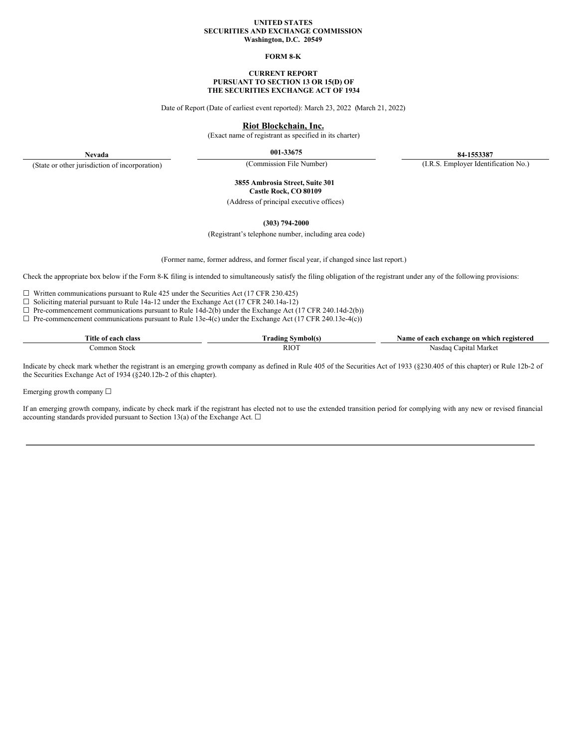#### **UNITED STATES SECURITIES AND EXCHANGE COMMISSION Washington, D.C. 20549**

#### **FORM 8-K**

### **CURRENT REPORT PURSUANT TO SECTION 13 OR 15(D) OF THE SECURITIES EXCHANGE ACT OF 1934**

Date of Report (Date of earliest event reported): March 23, 2022 (March 21, 2022)

### **Riot Blockchain, Inc.**

(Exact name of registrant as specified in its charter)

**001-33675 84-1553387**

**Nevada** (State or other jurisdiction of incorporation)

(Commission File Number) (I.R.S. Employer Identification No.)

**3855 Ambrosia Street, Suite 301 Castle Rock, CO 80109**

(Address of principal executive offices)

**(303) 794-2000**

(Registrant's telephone number, including area code)

(Former name, former address, and former fiscal year, if changed since last report.)

Check the appropriate box below if the Form 8-K filing is intended to simultaneously satisfy the filing obligation of the registrant under any of the following provisions:

☐ Written communications pursuant to Rule 425 under the Securities Act (17 CFR 230.425)

☐ Soliciting material pursuant to Rule 14a-12 under the Exchange Act (17 CFR 240.14a-12)

 $\Box$  Pre-commencement communications pursuant to Rule 14d-2(b) under the Exchange Act (17 CFR 240.14d-2(b))

 $\Box$  Pre-commencement communications pursuant to Rule 13e-4(c) under the Exchange Act (17 CFR 240.13e-4(c))

| class<br>∃Title<br><u> 0001</u><br>-01 | adın.       | registered<br>42 me<br>-on<br>whicl<br>exchange<br>each<br>ո |
|----------------------------------------|-------------|--------------------------------------------------------------|
| Stock<br>ommon                         | <b>RIOT</b> | apit <i>e</i><br>Nasdaq<br>Marke'                            |

Indicate by check mark whether the registrant is an emerging growth company as defined in Rule 405 of the Securities Act of 1933 (§230.405 of this chapter) or Rule 12b-2 of the Securities Exchange Act of 1934 (§240.12b-2 of this chapter).

Emerging growth company  $\Box$ 

If an emerging growth company, indicate by check mark if the registrant has elected not to use the extended transition period for complying with any new or revised financial accounting standards provided pursuant to Section 13(a) of the Exchange Act.  $\square$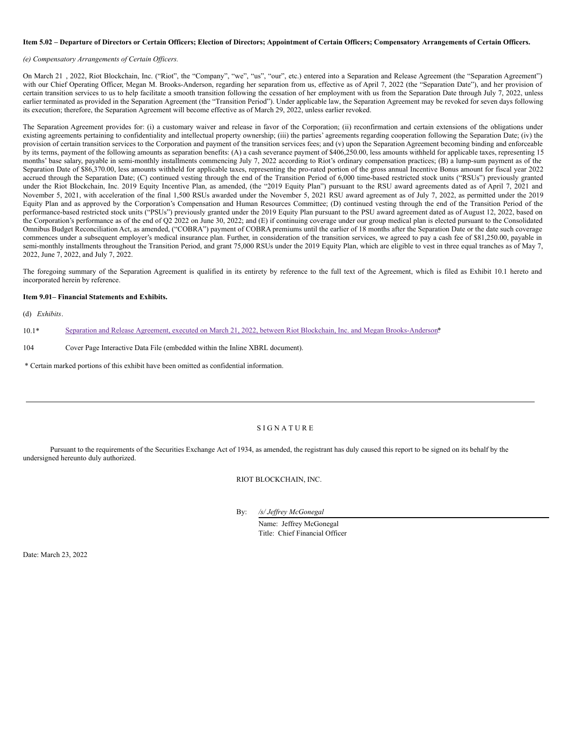### Item 5.02 - Departure of Directors or Certain Officers; Election of Directors; Appointment of Certain Officers; Compensatory Arrangements of Certain Officers.

#### *(e) Compensatory Arrangements of Certain Of icers.*

On March 21, 2022, Riot Blockchain, Inc. ("Riot", the "Company", "we", "us", "our", etc.) entered into a Separation and Release Agreement (the "Separation Agreement") with our Chief Operating Officer, Megan M. Brooks-Anderson, regarding her separation from us, effective as of April 7, 2022 (the "Separation Date"), and her provision of certain transition services to us to help facilitate a smooth transition following the cessation of her employment with us from the Separation Date through July 7, 2022, unless earlier terminated as provided in the Separation Agreement (the "Transition Period"). Under applicable law, the Separation Agreement may be revoked for seven days following its execution; therefore, the Separation Agreement will become effective as of March 29, 2022, unless earlier revoked.

The Separation Agreement provides for: (i) a customary waiver and release in favor of the Corporation; (ii) reconfirmation and certain extensions of the obligations under existing agreements pertaining to confidentiality and intellectual property ownership; (iii) the parties' agreements regarding cooperation following the Separation Date; (iv) the provision of certain transition services to the Corporation and payment of the transition services fees; and (v) upon the Separation Agreement becoming binding and enforceable by its terms, payment of the following amounts as separation benefits: (A) a cash severance payment of \$406,250.00, less amounts withheld for applicable taxes, representing 15 months' base salary, payable in semi-monthly installments commencing July 7, 2022 according to Riot's ordinary compensation practices; (B) a lump-sum payment as of the Separation Date of \$86,370.00, less amounts withheld for applicable taxes, representing the pro-rated portion of the gross annual Incentive Bonus amount for fiscal year 2022 accrued through the Separation Date; (C) continued vesting through the end of the Transition Period of 6,000 time-based restricted stock units ("RSUs") previously granted under the Riot Blockchain, Inc. 2019 Equity Incentive Plan, as amended, (the "2019 Equity Plan") pursuant to the RSU award agreements dated as of April 7, 2021 and November 5, 2021, with acceleration of the final 1,500 RSUs awarded under the November 5, 2021 RSU award agreement as of July 7, 2022, as permitted under the 2019 Equity Plan and as approved by the Corporation's Compensation and Human Resources Committee; (D) continued vesting through the end of the Transition Period of the performance-based restricted stock units ("PSUs") previously granted under the 2019 Equity Plan pursuant to the PSU award agreement dated as of August 12, 2022, based on the Corporation's performance as of the end of Q2 2022 on June 30, 2022; and (E) if continuing coverage under our group medical plan is elected pursuant to the Consolidated Omnibus Budget Reconciliation Act, as amended, ("COBRA") payment of COBRA premiums until the earlier of 18 months after the Separation Date or the date such coverage commences under a subsequent employer's medical insurance plan. Further, in consideration of the transition services, we agreed to pay a cash fee of \$81,250.00, payable in semi-monthly installments throughout the Transition Period, and grant 75,000 RSUs under the 2019 Equity Plan, which are eligible to vest in three equal tranches as of May 7, 2022, June 7, 2022, and July 7, 2022.

The foregoing summary of the Separation Agreement is qualified in its entirety by reference to the full text of the Agreement, which is filed as Exhibit 10.1 hereto and incorporated herein by reference.

### **Item 9.01– Financial Statements and Exhibits.**

(d) *Exhibits*.

10.1\* Separation and Release Agreement, executed on March 21, 2022, between Riot Blockchain, Inc. and Megan [Brooks-Anderson](#page-4-0)\*.

#### 104 Cover Page Interactive Data File (embedded within the Inline XBRL document).

\* Certain marked portions of this exhibit have been omitted as confidential information.

#### S I G N A T U R E

Pursuant to the requirements of the Securities Exchange Act of 1934, as amended, the registrant has duly caused this report to be signed on its behalf by the undersigned hereunto duly authorized.

RIOT BLOCKCHAIN, INC.

By: */s/ Jef rey McGonegal*

Name: Jeffrey McGonegal Title: Chief Financial Officer

Date: March 23, 2022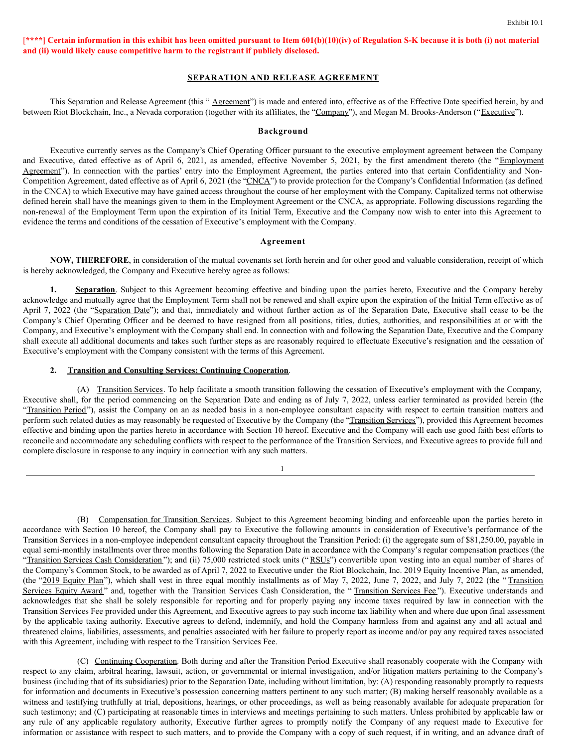## $[***]$  Certain information in this exhibit has been omitted pursuant to Item  $601(b)(10)(iv)$  of Regulation S-K because it is both (i) not material **and (ii) would likely cause competitive harm to the registrant if publicly disclosed.**

## **SEPARATION AND RELEASE AGREEMENT**

This Separation and Release Agreement (this " Agreement") is made and entered into, effective as of the Effective Date specified herein, by and between Riot Blockchain, Inc., a Nevada corporation (together with its affiliates, the "Company"), and Megan M. Brooks-Anderson ("Executive").

### **Background**

Executive currently serves as the Company's Chief Operating Officer pursuant to the executive employment agreement between the Company and Executive, dated effective as of April 6, 2021, as amended, effective November 5, 2021, by the first amendment thereto (the "Employment Agreement"). In connection with the parties' entry into the Employment Agreement, the parties entered into that certain Confidentiality and Non-Competition Agreement, dated effective as of April 6, 2021 (the "CNCA") to provide protection for the Company's Confidential Information (as defined in the CNCA) to which Executive may have gained access throughout the course of her employment with the Company. Capitalized terms not otherwise defined herein shall have the meanings given to them in the Employment Agreement or the CNCA, as appropriate. Following discussions regarding the non-renewal of the Employment Term upon the expiration of its Initial Term, Executive and the Company now wish to enter into this Agreement to evidence the terms and conditions of the cessation of Executive's employment with the Company.

### **Agreement**

**NOW, THEREFORE**, in consideration of the mutual covenants set forth herein and for other good and valuable consideration, receipt of which is hereby acknowledged, the Company and Executive hereby agree as follows:

1. **Separation**. Subject to this Agreement becoming effective and binding upon the parties hereto, Executive and the Company hereby acknowledge and mutually agree that the Employment Term shall not be renewed and shall expire upon the expiration of the Initial Term effective as of April 7, 2022 (the "Separation Date"); and that, immediately and without further action as of the Separation Date, Executive shall cease to be the Company's Chief Operating Officer and be deemed to have resigned from all positions, titles, duties, authorities, and responsibilities at or with the Company, and Executive's employment with the Company shall end. In connection with and following the Separation Date, Executive and the Company shall execute all additional documents and takes such further steps as are reasonably required to effectuate Executive's resignation and the cessation of Executive's employment with the Company consistent with the terms of this Agreement.

### **2. Transition and Consulting Services; Continuing Cooperation**.

(A) Transition Services. To help facilitate a smooth transition following the cessation of Executive's employment with the Company, Executive shall, for the period commencing on the Separation Date and ending as of July 7, 2022, unless earlier terminated as provided herein (the "Transition Period"), assist the Company on an as needed basis in a non-employee consultant capacity with respect to certain transition matters and perform such related duties as may reasonably be requested of Executive by the Company (the "Transition Services"), provided this Agreement becomes effective and binding upon the parties hereto in accordance with Section 10 hereof. Executive and the Company will each use good faith best efforts to reconcile and accommodate any scheduling conflicts with respect to the performance of the Transition Services, and Executive agrees to provide full and complete disclosure in response to any inquiry in connection with any such matters.

1

(B) Compensation for Transition Services. Subject to this Agreement becoming binding and enforceable upon the parties hereto in accordance with Section 10 hereof, the Company shall pay to Executive the following amounts in consideration of Executive's performance of the Transition Services in a non-employee independent consultant capacity throughout the Transition Period: (i) the aggregate sum of \$81,250.00, payable in equal semi-monthly installments over three months following the Separation Date in accordance with the Company's regular compensation practices (the "Transition Services Cash Consideration"); and (ii) 75,000 restricted stock units ("RSUs") convertible upon vesting into an equal number of shares of the Company's Common Stock, to be awarded as of April 7, 2022 to Executive under the Riot Blockchain, Inc. 2019 Equity Incentive Plan, as amended, (the "2019 Equity Plan"), which shall vest in three equal monthly installments as of May 7, 2022, June 7, 2022, and July 7, 2022 (the "Transition") Services Equity Award" and, together with the Transition Services Cash Consideration, the "Transition Services Fee"). Executive understands and acknowledges that she shall be solely responsible for reporting and for properly paying any income taxes required by law in connection with the Transition Services Fee provided under this Agreement, and Executive agrees to pay such income tax liability when and where due upon final assessment by the applicable taxing authority. Executive agrees to defend, indemnify, and hold the Company harmless from and against any and all actual and threatened claims, liabilities, assessments, and penalties associated with her failure to properly report as income and/or pay any required taxes associated with this Agreement, including with respect to the Transition Services Fee.

(C) Continuing Cooperation. Both during and after the Transition Period Executive shall reasonably cooperate with the Company with respect to any claim, arbitral hearing, lawsuit, action, or governmental or internal investigation, and/or litigation matters pertaining to the Company's business (including that of its subsidiaries) prior to the Separation Date, including without limitation, by: (A) responding reasonably promptly to requests for information and documents in Executive's possession concerning matters pertinent to any such matter; (B) making herself reasonably available as a witness and testifying truthfully at trial, depositions, hearings, or other proceedings, as well as being reasonably available for adequate preparation for such testimony; and (C) participating at reasonable times in interviews and meetings pertaining to such matters. Unless prohibited by applicable law or any rule of any applicable regulatory authority, Executive further agrees to promptly notify the Company of any request made to Executive for information or assistance with respect to such matters, and to provide the Company with a copy of such request, if in writing, and an advance draft of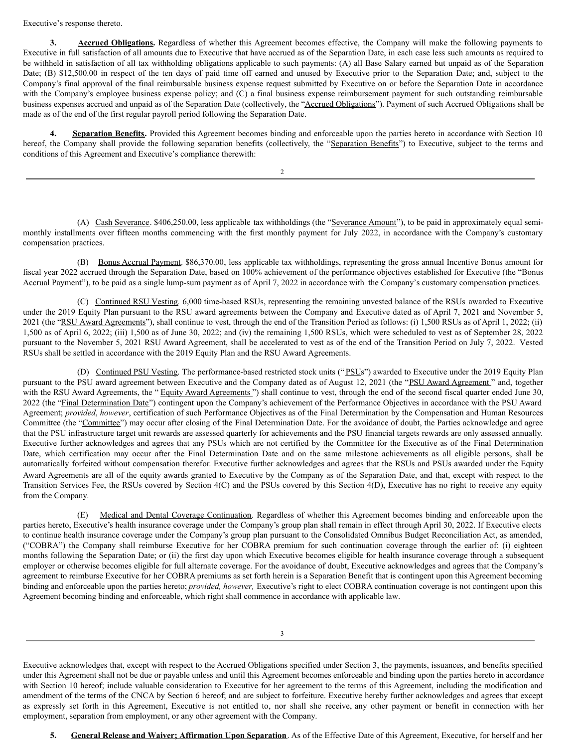Executive's response thereto.

**3. Accrued Obligations.** Regardless of whether this Agreement becomes effective, the Company will make the following payments to Executive in full satisfaction of all amounts due to Executive that have accrued as of the Separation Date, in each case less such amounts as required to be withheld in satisfaction of all tax withholding obligations applicable to such payments: (A) all Base Salary earned but unpaid as of the Separation Date; (B) \$12,500.00 in respect of the ten days of paid time off earned and unused by Executive prior to the Separation Date; and, subject to the Company's final approval of the final reimbursable business expense request submitted by Executive on or before the Separation Date in accordance with the Company's employee business expense policy; and (C) a final business expense reimbursement payment for such outstanding reimbursable business expenses accrued and unpaid as of the Separation Date (collectively, the "Accrued Obligations"). Payment of such Accrued Obligations shall be made as of the end of the first regular payroll period following the Separation Date.

**Separation Benefits.** Provided this Agreement becomes binding and enforceable upon the parties hereto in accordance with Section 10 hereof, the Company shall provide the following separation benefits (collectively, the "Separation Benefits") to Executive, subject to the terms and conditions of this Agreement and Executive's compliance therewith:

2

(A) Cash Severance. \$406,250.00, less applicable tax withholdings (the "Severance Amount"), to be paid in approximately equal semimonthly installments over fifteen months commencing with the first monthly payment for July 2022, in accordance with the Company's customary compensation practices.

(B) Bonus Accrual Payment. \$86,370.00, less applicable tax withholdings, representing the gross annual Incentive Bonus amount for fiscal year 2022 accrued through the Separation Date, based on 100% achievement of the performance objectives established for Executive (the "Bonus Accrual Payment"), to be paid as a single lump-sum payment as of April 7, 2022 in accordance with the Company's customary compensation practices.

(C) Continued RSU Vesting*.* 6,000 time-based RSUs, representing the remaining unvested balance of the RSUs awarded to Executive under the 2019 Equity Plan pursuant to the RSU award agreements between the Company and Executive dated as of April 7, 2021 and November 5, 2021 (the "RSU Award Agreements"), shall continue to vest, through the end of the Transition Period as follows: (i) 1,500 RSUs as of April 1, 2022; (ii) 1,500 as of April 6, 2022; (iii) 1,500 as of June 30, 2022; and (iv) the remaining 1,500 RSUs, which were scheduled to vest as of September 28, 2022 pursuant to the November 5, 2021 RSU Award Agreement, shall be accelerated to vest as of the end of the Transition Period on July 7, 2022. Vested RSUs shall be settled in accordance with the 2019 Equity Plan and the RSU Award Agreements.

(D) Continued PSU Vesting. The performance-based restricted stock units ("PSUs") awarded to Executive under the 2019 Equity Plan pursuant to the PSU award agreement between Executive and the Company dated as of August 12, 2021 (the "PSU Award Agreement" and, together with the RSU Award Agreements, the "Equity Award Agreements") shall continue to vest, through the end of the second fiscal quarter ended June 30, 2022 (the "Final Determination Date") contingent upon the Company's achievement of the Performance Objectives in accordance with the PSU Award Agreement; *provided*, *however*, certification of such Performance Objectives as of the Final Determination by the Compensation and Human Resources Committee (the "Committee") may occur after closing of the Final Determination Date. For the avoidance of doubt, the Parties acknowledge and agree that the PSU infrastructure target unit rewards are assessed quarterly for achievements and the PSU financial targets rewards are only assessed annually. Executive further acknowledges and agrees that any PSUs which are not certified by the Committee for the Executive as of the Final Determination Date, which certification may occur after the Final Determination Date and on the same milestone achievements as all eligible persons, shall be automatically forfeited without compensation therefor. Executive further acknowledges and agrees that the RSUs and PSUs awarded under the Equity Award Agreements are all of the equity awards granted to Executive by the Company as of the Separation Date, and that, except with respect to the Transition Services Fee, the RSUs covered by Section 4(C) and the PSUs covered by this Section 4(D), Executive has no right to receive any equity from the Company.

Medical and Dental Coverage Continuation. Regardless of whether this Agreement becomes binding and enforceable upon the parties hereto, Executive's health insurance coverage under the Company's group plan shall remain in effect through April 30, 2022. If Executive elects to continue health insurance coverage under the Company's group plan pursuant to the Consolidated Omnibus Budget Reconciliation Act, as amended, ("COBRA") the Company shall reimburse Executive for her COBRA premium for such continuation coverage through the earlier of: (i) eighteen months following the Separation Date; or (ii) the first day upon which Executive becomes eligible for health insurance coverage through a subsequent employer or otherwise becomes eligible for full alternate coverage. For the avoidance of doubt, Executive acknowledges and agrees that the Company's agreement to reimburse Executive for her COBRA premiums as set forth herein is a Separation Benefit that is contingent upon this Agreement becoming binding and enforceable upon the parties hereto; *provided, however,* Executive's right to elect COBRA continuation coverage is not contingent upon this Agreement becoming binding and enforceable, which right shall commence in accordance with applicable law.

3

Executive acknowledges that, except with respect to the Accrued Obligations specified under Section 3, the payments, issuances, and benefits specified under this Agreement shall not be due or payable unless and until this Agreement becomes enforceable and binding upon the parties hereto in accordance with Section 10 hereof; include valuable consideration to Executive for her agreement to the terms of this Agreement, including the modification and amendment of the terms of the CNCA by Section 6 hereof; and are subject to forfeiture. Executive hereby further acknowledges and agrees that except as expressly set forth in this Agreement, Executive is not entitled to, nor shall she receive, any other payment or benefit in connection with her employment, separation from employment, or any other agreement with the Company.

**5. General Release and Waiver; Affirmation Upon Separation**. As of the Effective Date of this Agreement, Executive, for herself and her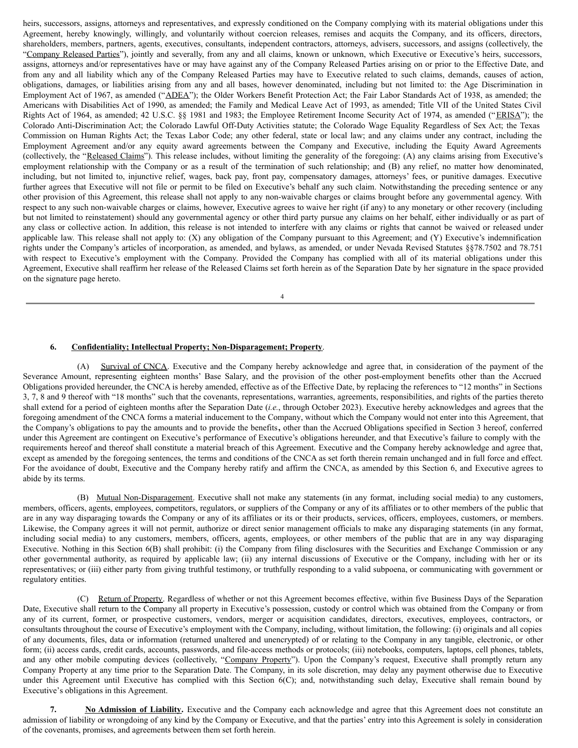<span id="page-4-0"></span>heirs, successors, assigns, attorneys and representatives, and expressly conditioned on the Company complying with its material obligations under this Agreement, hereby knowingly, willingly, and voluntarily without coercion releases, remises and acquits the Company, and its officers, directors, shareholders, members, partners, agents, executives, consultants, independent contractors, attorneys, advisers, successors, and assigns (collectively, the "Company Released Parties"), jointly and severally, from any and all claims, known or unknown, which Executive or Executive's heirs, successors, assigns, attorneys and/or representatives have or may have against any of the Company Released Parties arising on or prior to the Effective Date, and from any and all liability which any of the Company Released Parties may have to Executive related to such claims, demands, causes of action, obligations, damages, or liabilities arising from any and all bases, however denominated, including but not limited to: the Age Discrimination in Employment Act of 1967, as amended ("ADEA"); the Older Workers Benefit Protection Act; the Fair Labor Standards Act of 1938, as amended; the Americans with Disabilities Act of 1990, as amended; the Family and Medical Leave Act of 1993, as amended; Title VII of the United States Civil Rights Act of 1964, as amended; 42 U.S.C. §§ 1981 and 1983; the Employee Retirement Income Security Act of 1974, as amended ("ERISA"); the Colorado Anti-Discrimination Act; the Colorado Lawful Off-Duty Activities statute; the Colorado Wage Equality Regardless of Sex Act; the Texas Commission on Human Rights Act; the Texas Labor Code; any other federal, state or local law; and any claims under any contract, including the Employment Agreement and/or any equity award agreements between the Company and Executive, including the Equity Award Agreements (collectively, the "Released Claims"). This release includes, without limiting the generality of the foregoing: (A) any claims arising from Executive's employment relationship with the Company or as a result of the termination of such relationship; and (B) any relief, no matter how denominated, including, but not limited to, injunctive relief, wages, back pay, front pay, compensatory damages, attorneys' fees, or punitive damages. Executive further agrees that Executive will not file or permit to be filed on Executive's behalf any such claim. Notwithstanding the preceding sentence or any other provision of this Agreement, this release shall not apply to any non-waivable charges or claims brought before any governmental agency. With respect to any such non-waivable charges or claims, however, Executive agrees to waive her right (if any) to any monetary or other recovery (including but not limited to reinstatement) should any governmental agency or other third party pursue any claims on her behalf, either individually or as part of any class or collective action. In addition, this release is not intended to interfere with any claims or rights that cannot be waived or released under applicable law. This release shall not apply to: (X) any obligation of the Company pursuant to this Agreement; and (Y) Executive's indemnification rights under the Company's articles of incorporation, as amended, and bylaws, as amended, or under Nevada Revised Statutes §§78.7502 and 78.751 with respect to Executive's employment with the Company. Provided the Company has complied with all of its material obligations under this Agreement, Executive shall reaffirm her release of the Released Claims set forth herein as of the Separation Date by her signature in the space provided on the signature page hereto.

4

## **6. Confidentiality; Intellectual Property; Non-Disparagement; Property**.

(A) Survival of CNCA. Executive and the Company hereby acknowledge and agree that, in consideration of the payment of the Severance Amount, representing eighteen months' Base Salary, and the provision of the other post-employment benefits other than the Accrued Obligations provided hereunder, the CNCA is hereby amended, effective as of the Effective Date, by replacing the references to "12 months" in Sections 3, 7, 8 and 9 thereof with "18 months" such that the covenants, representations, warranties, agreements, responsibilities, and rights of the parties thereto shall extend for a period of eighteen months after the Separation Date (*i.e.*, through October 2023). Executive hereby acknowledges and agrees that the foregoing amendment of the CNCA forms a material inducement to the Company, without which the Company would not enter into this Agreement, that the Company's obligations to pay the amounts and to provide the benefits**,** other than the Accrued Obligations specified in Section 3 hereof, conferred under this Agreement are contingent on Executive's performance of Executive's obligations hereunder, and that Executive's failure to comply with the requirements hereof and thereof shall constitute a material breach of this Agreement. Executive and the Company hereby acknowledge and agree that, except as amended by the foregoing sentences, the terms and conditions of the CNCA as set forth therein remain unchanged and in full force and effect. For the avoidance of doubt, Executive and the Company hereby ratify and affirm the CNCA, as amended by this Section 6, and Executive agrees to abide by its terms.

(B) Mutual Non-Disparagement. Executive shall not make any statements (in any format, including social media) to any customers, members, officers, agents, employees, competitors, regulators, or suppliers of the Company or any of its affiliates or to other members of the public that are in any way disparaging towards the Company or any of its affiliates or its or their products, services, officers, employees, customers, or members. Likewise, the Company agrees it will not permit, authorize or direct senior management officials to make any disparaging statements (in any format, including social media) to any customers, members, officers, agents, employees, or other members of the public that are in any way disparaging Executive. Nothing in this Section 6(B) shall prohibit: (i) the Company from filing disclosures with the Securities and Exchange Commission or any other governmental authority, as required by applicable law; (ii) any internal discussions of Executive or the Company, including with her or its representatives; or (iii) either party from giving truthful testimony, or truthfully responding to a valid subpoena, or communicating with government or regulatory entities.

(C) Return of Property. Regardless of whether or not this Agreement becomes effective, within five Business Days of the Separation Date, Executive shall return to the Company all property in Executive's possession, custody or control which was obtained from the Company or from any of its current, former, or prospective customers, vendors, merger or acquisition candidates, directors, executives, employees, contractors, or consultants throughout the course of Executive's employment with the Company, including, without limitation, the following: (i) originals and all copies of any documents, files, data or information (returned unaltered and unencrypted) of or relating to the Company in any tangible, electronic, or other form; (ii) access cards, credit cards, accounts, passwords, and file-access methods or protocols; (iii) notebooks, computers, laptops, cell phones, tablets, and any other mobile computing devices (collectively, "Company Property"). Upon the Company's request, Executive shall promptly return any Company Property at any time prior to the Separation Date. The Company, in its sole discretion, may delay any payment otherwise due to Executive under this Agreement until Executive has complied with this Section 6(C); and, notwithstanding such delay, Executive shall remain bound by Executive's obligations in this Agreement.

**7. No Admission of Liability.** Executive and the Company each acknowledge and agree that this Agreement does not constitute an admission of liability or wrongdoing of any kind by the Company or Executive, and that the parties' entry into this Agreement is solely in consideration of the covenants, promises, and agreements between them set forth herein.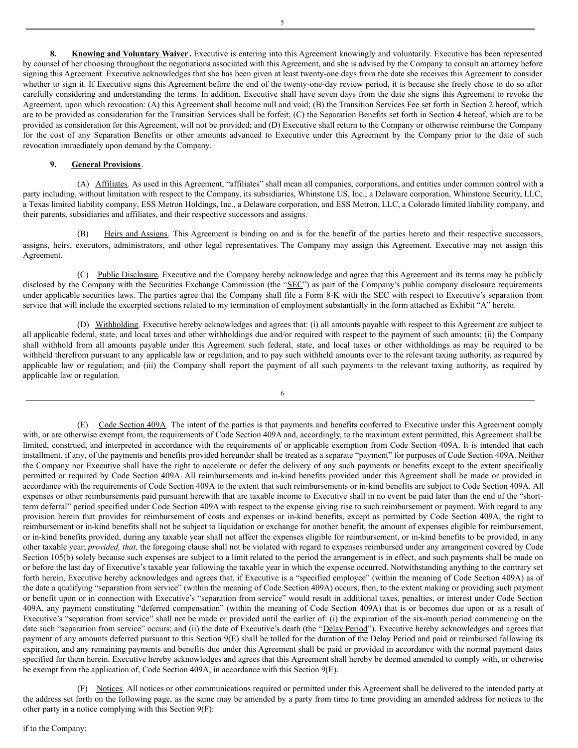**8. Knowing and Voluntary Waiver .** Executive is entering into this Agreement knowingly and voluntarily. Executive has been represented by counsel of her choosing throughout the negotiations associated with this Agreement, and she is advised by the Company to consult an attorney before signing this Agreement. Executive acknowledges that she has been given at least twenty-one days from the date she receives this Agreement to consider whether to sign it. If Executive signs this Agreement before the end of the twenty-one-day review period, it is because she freely chose to do so after carefully considering and understanding the terms. In addition, Executive shall have seven days from the date she signs this Agreement to revoke the Agreement, upon which revocation: (A) this Agreement shall become null and void; (B) the Transition Services Fee set forth in Section 2 hereof, which are to be provided as consideration for the Transition Services shall be forfeit; (C) the Separation Benefits set forth in Section 4 hereof, which are to be provided as consideration for this Agreement, will not be provided; and (D) Executive shall return to the Company or otherwise reimburse the Company for the cost of any Separation Benefits or other amounts advanced to Executive under this Agreement by the Company prior to the date of such revocation immediately upon demand by the Company.

### **9. General Provisions**.

(A) Affiliates. As used in this Agreement, "affiliates" shall mean all companies, corporations, and entities under common control with a party including, without limitation with respect to the Company, its subsidiaries, Whinstone US, Inc., a Delaware corporation, Whinstone Security, LLC, a Texas limited liability company, ESS Metron Holdings, Inc., a Delaware corporation, and ESS Metron, LLC, a Colorado limited liability company, and their parents, subsidiaries and affiliates, and their respective successors and assigns.

Heirs and Assigns. This Agreement is binding on and is for the benefit of the parties hereto and their respective successors, assigns, heirs, executors, administrators, and other legal representatives. The Company may assign this Agreement. Executive may not assign this Agreement.

(C) Public Disclosure. Executive and the Company hereby acknowledge and agree that this Agreement and its terms may be publicly disclosed by the Company with the Securities Exchange Commission (the "SEC") as part of the Company's public company disclosure requirements under applicable securities laws. The parties agree that the Company shall file a Form 8-K with the SEC with respect to Executive's separation from service that will include the excerpted sections related to my termination of employment substantially in the form attached as Exhibit "A" hereto.

(D) Withholding*.* Executive hereby acknowledges and agrees that: (i) all amounts payable with respect to this Agreement are subject to all applicable federal, state, and local taxes and other withholdings due and/or required with respect to the payment of such amounts; (ii) the Company shall withhold from all amounts payable under this Agreement such federal, state, and local taxes or other withholdings as may be required to be withheld therefrom pursuant to any applicable law or regulation, and to pay such withheld amounts over to the relevant taxing authority, as required by applicable law or regulation; and (iii) the Company shall report the payment of all such payments to the relevant taxing authority, as required by applicable law or regulation.

6

(E) Code Section 409A*.* The intent of the parties is that payments and benefits conferred to Executive under this Agreement comply with, or are otherwise exempt from, the requirements of Code Section 409A and, accordingly, to the maximum extent permitted, this Agreement shall be limited, construed, and interpreted in accordance with the requirements of or applicable exemption from Code Section 409A. It is intended that each installment, if any, of the payments and benefits provided hereunder shall be treated as a separate "payment" for purposes of Code Section 409A. Neither the Company nor Executive shall have the right to accelerate or defer the delivery of any such payments or benefits except to the extent specifically permitted or required by Code Section 409A. All reimbursements and in-kind benefits provided under this Agreement shall be made or provided in accordance with the requirements of Code Section 409A to the extent that such reimbursements or in-kind benefits are subject to Code Section 409A. All expenses or other reimbursements paid pursuant herewith that are taxable income to Executive shall in no event be paid later than the end of the "shortterm deferral" period specified under Code Section 409A with respect to the expense giving rise to such reimbursement or payment. With regard to any provision herein that provides for reimbursement of costs and expenses or in-kind benefits, except as permitted by Code Section 409A, the right to reimbursement or in-kind benefits shall not be subject to liquidation or exchange for another benefit, the amount of expenses eligible for reimbursement, or in-kind benefits provided, during any taxable year shall not affect the expenses eligible for reimbursement, or in-kind benefits to be provided, in any other taxable year; *provided, that,* the foregoing clause shall not be violated with regard to expenses reimbursed under any arrangement covered by Code Section 105(b) solely because such expenses are subject to a limit related to the period the arrangement is in effect, and such payments shall be made on or before the last day of Executive's taxable year following the taxable year in which the expense occurred. Notwithstanding anything to the contrary set forth herein, Executive hereby acknowledges and agrees that, if Executive is a "specified employee" (within the meaning of Code Section 409A) as of the date a qualifying "separation from service" (within the meaning of Code Section 409A) occurs, then, to the extent making or providing such payment or benefit upon or in connection with Executive's "separation from service" would result in additional taxes, penalties, or interest under Code Section 409A, any payment constituting "deferred compensation" (within the meaning of Code Section 409A) that is or becomes due upon or as a result of Executive's "separation from service" shall not be made or provided until the earlier of: (i) the expiration of the six-month period commencing on the date such "separation from service" occurs; and (ii) the date of Executive's death (the "Delay Period"). Executive hereby acknowledges and agrees that payment of any amounts deferred pursuant to this Section 9(E) shall be tolled for the duration of the Delay Period and paid or reimbursed following its expiration, and any remaining payments and benefits due under this Agreement shall be paid or provided in accordance with the normal payment dates specified for them herein. Executive hereby acknowledges and agrees that this Agreement shall hereby be deemed amended to comply with, or otherwise be exempt from the application of, Code Section 409A, in accordance with this Section 9(E).

(F) Notices. All notices or other communications required or permitted under this Agreement shall be delivered to the intended party at the address set forth on the following page, as the same may be amended by a party from time to time providing an amended address for notices to the other party in a notice complying with this Section 9(F):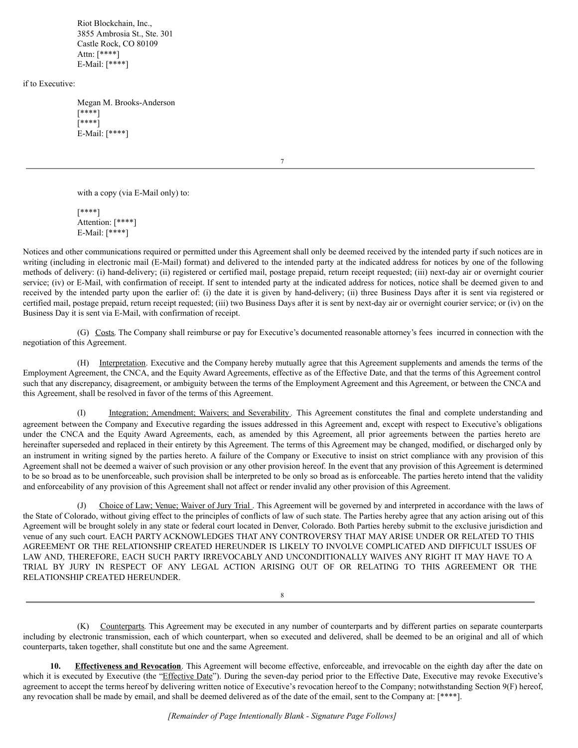Riot Blockchain, Inc., 3855 Ambrosia St., Ste. 301 Castle Rock, CO 80109 Attn: [\*\*\*\*] E-Mail: [\*\*\*\*]

if to Executive:

Megan M. Brooks-Anderson [\*\*\*\*] [\*\*\*\*] E-Mail: [\*\*\*\*]

7

with a copy (via E-Mail only) to:

[\*\*\*\*] Attention: [\*\*\*\*] E-Mail: [\*\*\*\*]

Notices and other communications required or permitted under this Agreement shall only be deemed received by the intended party if such notices are in writing (including in electronic mail (E-Mail) format) and delivered to the intended party at the indicated address for notices by one of the following methods of delivery: (i) hand-delivery; (ii) registered or certified mail, postage prepaid, return receipt requested; (iii) next-day air or overnight courier service; (iv) or E-Mail, with confirmation of receipt. If sent to intended party at the indicated address for notices, notice shall be deemed given to and received by the intended party upon the earlier of: (i) the date it is given by hand-delivery; (ii) three Business Days after it is sent via registered or certified mail, postage prepaid, return receipt requested; (iii) two Business Days after it is sent by next-day air or overnight courier service; or (iv) on the Business Day it is sent via E-Mail, with confirmation of receipt.

(G) Costs. The Company shall reimburse or pay for Executive's documented reasonable attorney's fees incurred in connection with the negotiation of this Agreement.

(H) Interpretation. Executive and the Company hereby mutually agree that this Agreement supplements and amends the terms of the Employment Agreement, the CNCA, and the Equity Award Agreements, effective as of the Effective Date, and that the terms of this Agreement control such that any discrepancy, disagreement, or ambiguity between the terms of the Employment Agreement and this Agreement, or between the CNCA and this Agreement, shall be resolved in favor of the terms of this Agreement.

Integration; Amendment; Waivers; and Severability. This Agreement constitutes the final and complete understanding and agreement between the Company and Executive regarding the issues addressed in this Agreement and, except with respect to Executive's obligations under the CNCA and the Equity Award Agreements, each, as amended by this Agreement, all prior agreements between the parties hereto are hereinafter superseded and replaced in their entirety by this Agreement. The terms of this Agreement may be changed, modified, or discharged only by an instrument in writing signed by the parties hereto. A failure of the Company or Executive to insist on strict compliance with any provision of this Agreement shall not be deemed a waiver of such provision or any other provision hereof. In the event that any provision of this Agreement is determined to be so broad as to be unenforceable, such provision shall be interpreted to be only so broad as is enforceable. The parties hereto intend that the validity and enforceability of any provision of this Agreement shall not affect or render invalid any other provision of this Agreement.

Choice of Law; Venue; Waiver of Jury Trial . This Agreement will be governed by and interpreted in accordance with the laws of the State of Colorado, without giving effect to the principles of conflicts of law of such state. The Parties hereby agree that any action arising out of this Agreement will be brought solely in any state or federal court located in Denver, Colorado. Both Parties hereby submit to the exclusive jurisdiction and venue of any such court. EACH PARTY ACKNOWLEDGES THAT ANY CONTROVERSY THAT MAY ARISE UNDER OR RELATED TO THIS AGREEMENT OR THE RELATIONSHIP CREATED HEREUNDER IS LIKELY TO INVOLVE COMPLICATED AND DIFFICULT ISSUES OF LAW AND, THEREFORE, EACH SUCH PARTY IRREVOCABLY AND UNCONDITIONALLY WAIVES ANY RIGHT IT MAY HAVE TO A TRIAL BY JURY IN RESPECT OF ANY LEGAL ACTION ARISING OUT OF OR RELATING TO THIS AGREEMENT OR THE RELATIONSHIP CREATED HEREUNDER.

8

(K) Counterparts. This Agreement may be executed in any number of counterparts and by different parties on separate counterparts including by electronic transmission, each of which counterpart, when so executed and delivered, shall be deemed to be an original and all of which counterparts, taken together, shall constitute but one and the same Agreement.

**Effectiveness and Revocation**. This Agreement will become effective, enforceable, and irrevocable on the eighth day after the date on which it is executed by Executive (the "Effective Date"). During the seven-day period prior to the Effective Date, Executive may revoke Executive's agreement to accept the terms hereof by delivering written notice of Executive's revocation hereof to the Company; notwithstanding Section 9(F) hereof, any revocation shall be made by email, and shall be deemed delivered as of the date of the email, sent to the Company at: [\*\*\*\*].

*[Remainder of Page Intentionally Blank - Signature Page Follows]*